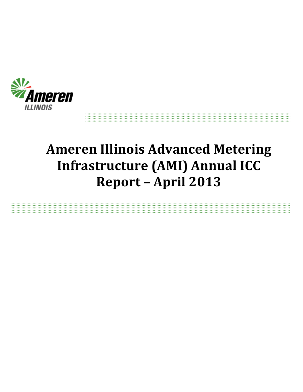

# **Ameren Illinois Advanced Metering Infrastructure (AMI) Annual ICC Report – April 2013**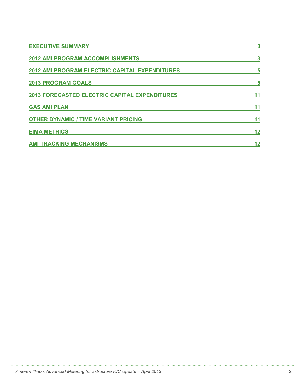| <b>EXECUTIVE SUMMARY</b>                             |    |
|------------------------------------------------------|----|
| <b>2012 AMI PROGRAM ACCOMPLISHMENTS</b>              | 3  |
| 2012 AMI PROGRAM ELECTRIC CAPITAL EXPENDITURES       | 5  |
| <b>2013 PROGRAM GOALS</b>                            | 5  |
| <b>2013 FORECASTED ELECTRIC CAPITAL EXPENDITURES</b> | 11 |
| <b>GAS AMI PLAN</b>                                  | 11 |
| <b>OTHER DYNAMIC / TIME VARIANT PRICING</b>          | 11 |
| <b>EIMA METRICS</b>                                  | 12 |
| <b>AMI TRACKING MECHANISMS</b>                       | 12 |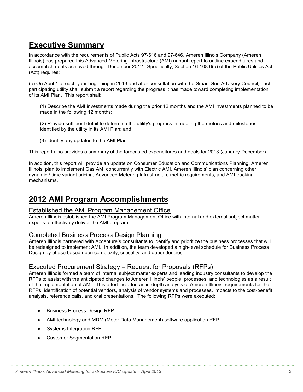# **Executive Summary**

In accordance with the requirements of Public Acts 97-616 and 97-646, Ameren Illinois Company (Ameren Illinois) has prepared this Advanced Metering Infrastructure (AMI) annual report to outline expenditures and accomplishments achieved through December 2012. Specifically, Section 16-108.6(e) of the Public Utilities Act (Act) requires:

(e) On April 1 of each year beginning in 2013 and after consultation with the Smart Grid Advisory Council, each participating utility shall submit a report regarding the progress it has made toward completing implementation of its AMI Plan. This report shall:

(1) Describe the AMI investments made during the prior 12 months and the AMI investments planned to be made in the following 12 months;

(2) Provide sufficient detail to determine the utility's progress in meeting the metrics and milestones identified by the utility in its AMI Plan; and

(3) Identify any updates to the AMI Plan.

This report also provides a summary of the forecasted expenditures and goals for 2013 (January-December).

In addition, this report will provide an update on Consumer Education and Communications Planning, Ameren Illinois' plan to implement Gas AMI concurrently with Electric AMI, Ameren Illinois' plan concerning other dynamic / time variant pricing, Advanced Metering Infrastructure metric requirements, and AMI tracking mechanisms.

# **2012 AMI Program Accomplishments**

#### Established the AMI Program Management Office

Ameren Illinois established the AMI Program Management Office with internal and external subject matter experts to effectively deliver the AMI program.

#### Completed Business Process Design Planning

Ameren Illinois partnered with Accenture's consultants to identify and prioritize the business processes that will be redesigned to implement AMI. In addition, the team developed a high-level schedule for Business Process Design by phase based upon complexity, criticality, and dependencies.

### Executed Procurement Strategy – Request for Proposals (RFPs)

Ameren Illinois formed a team of internal subject matter experts and leading industry consultants to develop the RFPs to assist with the anticipated changes to Ameren Illinois' people, processes, and technologies as a result of the implementation of AMI. This effort included an in-depth analysis of Ameren Illinois' requirements for the RFPs, identification of potential vendors, analysis of vendor systems and processes, impacts to the cost-benefit analysis, reference calls, and oral presentations. The following RFPs were executed:

- Business Process Design RFP
- AMI technology and MDM (Meter Data Management) software application RFP

- Systems Integration RFP
- Customer Segmentation RFP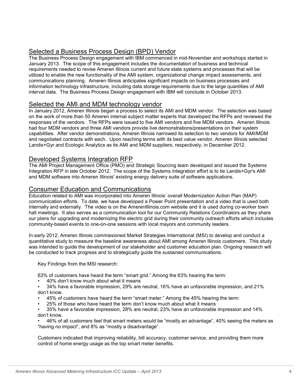### Selected a Business Process Design (BPD) Vendor

The Business Process Design engagement with IBM commenced in mid-November and workshops started in January 2013. The scope of this engagement includes the documentation of business and technical requirements needed to revise Ameren Illinois current and future state systems and processes that will be utilized to enable the new functionality of the AMI system, organizational change impact assessments, and communications planning. Ameren Illinois anticipates significant impacts on business processes and information technology infrastructure, including data storage requirements due to the large quantities of AMI interval data. The Business Process Design engagement with IBM will conclude in October 2013.

### Selected the AMI and MDM technology vendor

In January 2012, Ameren Illinois began a process to select its AMI and MDM vendor. The selection was based on the work of more than 50 Ameren internal subject matter experts that developed the RFPs and reviewed the responses of the vendors. The RFPs were issued to five AMI vendors and five MDM vendors. Ameren Illinois had four MDM vendors and three AMI vendors provide live demonstrations/presentations on their system capabilities. After vendor demonstrations, Ameren Illinois narrowed its selection to two vendors for AMI/MDM and negotiated contracts with each. Upon reaching terms with its best value vendor, Ameren Illinois selected Landis+Gyr and Ecologic Analytics as its AMI and MDM suppliers, respectively, in December 2012.

#### Developed Systems Integration RFP

The AMI Project Management Office (PMO) and Strategic Sourcing team developed and issued the Systems Integration RFP in late October 2012. The scope of the Systems Integration effort is to tie Landis+Gyr's AMI and MDM software into Ameren Illinois' existing energy delivery suite of software applications.

#### Consumer Education and Communications

Education related to AMI was incorporated into Ameren Illinois' overall Modernization Action Plan (MAP) communication efforts. To date, we have developed a Power Point presentation and a video that is used both internally and externally. The video is on the Amerenlllinois.com website and it is used during co-worker town hall meetings. It also serves as a communication tool for our Community Relations Coordinators as they share our plans for upgrading and modernizing the electric grid during their community outreach efforts which includes community-based events to one-on-one sessions with local mayors and community leaders.

In early 2012, Ameren Illinois commissioned Market Strategies International (MSI) to develop and conduct a quantitative study to measure the baseline awareness about AMI among Ameren Illinois customers. This study was intended to guide the development of our stakeholder and customer education plan. Ongoing research will be conducted to track progress and to strategically guide the sustained communications.

Key Findings from the MSI research:

63% of customers have heard the term "smart grid." Among the 63% hearing the term:

• 40% don't know much about what it means

• 34% have a favorable impression, 29% are neutral, 16% have an unfavorable impression, and 21% don't know.

- 45% of customers have heard the term "smart meter." Among the 45% hearing the term:
- 25% of those who have heard the term don't know much about what it means

• 35% have a favorable impression, 28% are neutral, 23% have an unfavorable impression and 14% don't know.

• 46% of all customers feel that smart meters would be "mostly an advantage", 40% seeing the meters as "having no impact", and 8% as "mostly a disadvantage".

Customers indicated that improving reliability, bill accuracy, customer service, and providing them more control of home energy usage as the top smart meter benefits.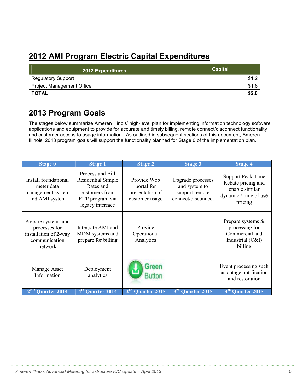# **2012 AMI Program Electric Capital Expenditures**

| 2012 Expenditures                | Capital |
|----------------------------------|---------|
| <b>Regulatory Support</b>        | \$1.2   |
| <b>Project Management Office</b> | \$1.6   |
| <b>TOTAL</b>                     | \$2.8   |

### **2013 Program Goals**

The stages below summarize Ameren Illinois' high-level plan for implementing information technology software applications and equipment to provide for accurate and timely billing, remote connect/disconnect functionality and customer access to usage information. As outlined in subsequent sections of this document, Ameren Illinois' 2013 program goals will support the functionality planned for Stage 0 of the implementation plan.

| <b>Stage 0</b>                                                                            | <b>Stage 1</b>                                                                                                      | <b>Stage 2</b>                                                 | <b>Stage 3</b>                                                             | <b>Stage 4</b>                                                                                       |
|-------------------------------------------------------------------------------------------|---------------------------------------------------------------------------------------------------------------------|----------------------------------------------------------------|----------------------------------------------------------------------------|------------------------------------------------------------------------------------------------------|
| Install foundational<br>meter data<br>management system<br>and AMI system                 | Process and Bill<br><b>Residential Simple</b><br>Rates and<br>customers from<br>RTP program via<br>legacy interface | Provide Web<br>portal for<br>presentation of<br>customer usage | Upgrade processes<br>and system to<br>support remote<br>connect/disconnect | <b>Support Peak Time</b><br>Rebate pricing and<br>enable similar<br>dynamic / time of use<br>pricing |
| Prepare systems and<br>processes for<br>installation of 2-way<br>communication<br>network | Integrate AMI and<br>MDM systems and<br>prepare for billing                                                         | Provide<br>Operational<br>Analytics                            |                                                                            | Prepare systems &<br>processing for<br>Commercial and<br>Industrial (C&I)<br>billing                 |
| Manage Asset<br>Information                                                               | Deployment<br>analytics                                                                                             | Green                                                          |                                                                            | Event processing such<br>as outage notification<br>and restoration                                   |
| Quarter 2014                                                                              | 4 <sup>th</sup><br>Quarter 2014                                                                                     | 2 <sup>nd</sup><br><b>Quarter 2015</b>                         | 3 <sup>rd</sup><br><b>Quarter 2015</b>                                     | 4 <sup>th</sup><br><b>Quarter 2015</b>                                                               |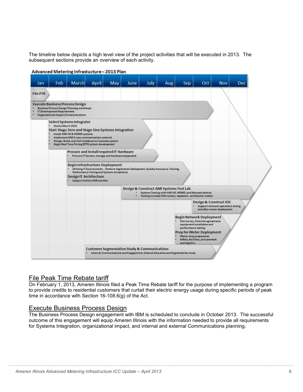The timeline below depicts a high level view of the project activities that will be executed in 2013. The subsequent sections provide an overview of each activity.



#### Advanced Metering Infrastucture-2013 Plan

#### File Peak Time Rebate tariff

On February 1, 2013, Ameren Illinois filed a Peak Time Rebate tariff for the purpose of implementing a program to provide credits to residential customers that curtail their electric energy usage during specific periods of peak time in accordance with Section 16-108.6(g) of the Act.

#### Execute Business Process Design

The Business Process Design engagement with IBM is scheduled to conclude in October 2013. The successful outcome of this engagement will equip Ameren Illinois with the information needed to provide all requirements for Systems Integration, organizational impact, and internal and external Communications planning.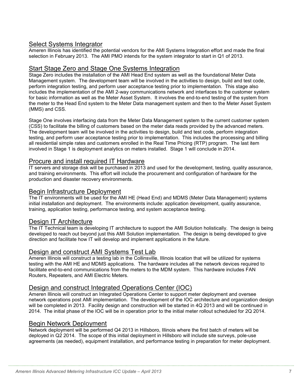#### Select Systems Integrator

Ameren Illinois has identified the potential vendors for the AMI Systems Integration effort and made the final selection in February 2013. The AMI PMO intends for the system integrator to start in Q1 of 2013.

#### Start Stage Zero and Stage One Systems Integration

Stage Zero includes the installation of the AMI Head End system as well as the foundational Meter Data Management system. The development team will be involved in the activities to design, build and test code, perform integration testing, and perform user acceptance testing prior to implementation. This stage also includes the implementation of the AMI 2-way communications network and interfaces to the customer system for basic information as well as the Meter Asset System. It involves the end-to-end testing of the system from the meter to the Head End system to the Meter Data management system and then to the Meter Asset System (MMS) and CSS.

Stage One involves interfacing data from the Meter Data Management system to the current customer system (CSS) to facilitate the billing of customers based on the meter data reads provided by the advanced meters. The development team will be involved in the activities to design, build and test code, perform integration testing, and perform user acceptance testing prior to implementation. This includes the processing and billing all residential simple rates and customers enrolled in the Real Time Pricing (RTP) program. The last item involved in Stage 1 is deployment analytics on meters installed. Stage 1 will conclude in 2014.

#### Procure and install required IT Hardware

IT servers and storage disk will be purchased in 2013 and used for the development, testing, quality assurance, and training environments. This effort will include the procurement and configuration of hardware for the production and disaster recovery environments.

#### Begin Infrastructure Deployment

The IT environments will be used for the AMI HE (Head End) and MDMS (Meter Data Management) systems initial installation and deployment. The environments include: application development, quality assurance, training, application testing, performance testing, and system acceptance testing.

#### Design IT Architecture

The IT Technical team is developing IT architecture to support the AMI Solution holistically. The design is being developed to reach out beyond just this AMI Solution implementation. The design is being developed to give direction and facilitate how IT will develop and implement applications in the future.

#### Design and construct AMI Systems Test Lab

Ameren Illinois will construct a testing lab in the Collinsville, Illinois location that will be utilized for systems testing with the AMI HE and MDMS applications. The hardware includes all the network devices required to facilitate end-to-end communications from the meters to the MDM system. This hardware includes FAN Routers, Repeaters, and AMI Electric Meters.

#### Design and construct Integrated Operations Center (IOC)

Ameren Illinois will construct an Integrated Operations Center to support meter deployment and oversee network operations post AMI implementation. The development of the IOC architecture and organization design will be completed in 2013. Facility design and construction will be started in 4Q 2013 and will be continued in 2014. The initial phase of the IOC will be in operation prior to the initial meter rollout scheduled for 2Q 2014.

#### Begin Network Deployment

Network deployment will be performed Q4 2013 in Hillsboro, Illinois where the first batch of meters will be deployed in Q2 2014. The scope of this initial deployment in Hillsboro will include site surveys, pole-use agreements (as needed), equipment installation, and performance testing in preparation for meter deployment.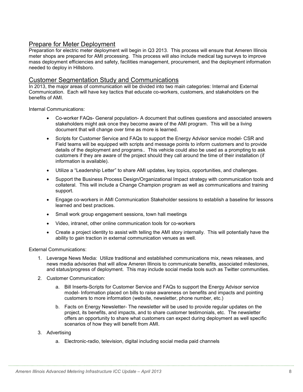#### Prepare for Meter Deployment

Preparation for electric meter deployment will begin in Q3 2013. This process will ensure that Ameren Illinois meter shops are prepared for AMI processing. This process will also include medical tag surveys to improve mass deployment efficiencies and safety, facilities management, procurement, and the deployment information needed to deploy in Hillsboro.

#### Customer Segmentation Study and Communications

In 2013, the major areas of communication will be divided into two main categories: Internal and External Communication. Each will have key tactics that educate co-workers, customers, and stakeholders on the benefits of AMI.

Internal Communications:

- Co-worker FAQs- General population- A document that outlines questions and associated answers stakeholders might ask once they become aware of the AMI program. This will be a living document that will change over time as more is learned.
- Scripts for Customer Service and FAQs to support the Energy Advisor service model- CSR and Field teams will be equipped with scripts and message points to inform customers and to provide details of the deployment and programs.. This vehicle could also be used as a prompting to ask customers if they are aware of the project should they call around the time of their installation (if information is available).
- Utilize a "Leadership Letter" to share AMI updates, key topics, opportunities, and challenges.
- Support the Business Process Design/Organizational Impact strategy with communication tools and collateral. This will include a Change Champion program as well as communications and training support.
- Engage co-workers in AMI Communication Stakeholder sessions to establish a baseline for lessons learned and best practices.
- Small work group engagement sessions, town hall meetings
- Video, intranet, other online communication tools for co-workers
- Create a project identity to assist with telling the AMI story internally. This will potentially have the ability to gain traction in external communication venues as well.

External Communications:

- 1. Leverage News Media: Utilize traditional and established communications mix, news releases, and news media advisories that will allow Ameren Illinois to communicate benefits, associated milestones, and status/progress of deployment. This may include social media tools such as Twitter communities.
- 2. Customer Communication:
	- a. Bill Inserts-Scripts for Customer Service and FAQs to support the Energy Advisor service model- Information placed on bills to raise awareness on benefits and impacts and pointing customers to more information (website, newsletter, phone number, etc.)
	- b. Facts on Energy Newsletter- The newsletter will be used to provide regular updates on the project, its benefits, and impacts, and to share customer testimonials, etc. The newsletter offers an opportunity to share what customers can expect during deployment as well specific scenarios of how they will benefit from AMI.
- 3. Advertising
	- a. Electronic-radio, television, digital including social media paid channels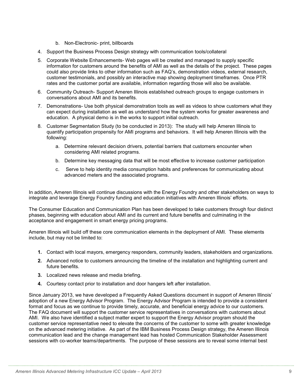- b. Non-Electronic- print, billboards
- 4. Support the Business Process Design strategy with communication tools/collateral
- 5. Corporate Website Enhancements- Web pages will be created and managed to supply specific information for customers around the benefits of AMI as well as the details of the project. These pages could also provide links to other information such as FAQ's, demonstration videos, external research, customer testimonials, and possibly an interactive map showing deployment timeframes. Once PTR rates and the customer portal are available, information regarding those will also be available.
- 6. Community Outreach- Support Ameren Illinois established outreach groups to engage customers in conversations about AMI and its benefits.
- 7. Demonstrations- Use both physical demonstration tools as well as videos to show customers what they can expect during installation as well as understand how the system works for greater awareness and education. A physical demo is in the works to support initial outreach.
- 8. Customer Segmentation Study (to be conducted in 2013): The study will help Ameren Illinois to quantify participation propensity for AMI programs and behaviors. It will help Ameren Illinois with the following:
	- a. Determine relevant decision drivers, potential barriers that customers encounter when considering AMI related programs.
	- b. Determine key messaging data that will be most effective to increase customer participation
	- c. Serve to help identity media consumption habits and preferences for communicating about advanced meters and the associated programs.

In addition, Ameren Illinois will continue discussions with the Energy Foundry and other stakeholders on ways to integrate and leverage Energy Foundry funding and education initiatives with Ameren Illinois' efforts.

The Consumer Education and Communication Plan has been developed to take customers through four distinct phases, beginning with education about AMI and its current and future benefits and culminating in the acceptance and engagement in smart energy pricing programs.

Ameren Illinois will build off these core communication elements in the deployment of AMI. These elements include, but may not be limited to:

- **1.** Contact with local mayors, emergency responders, community leaders, stakeholders and organizations.
- **2.** Advanced notice to customers announcing the timeline of the installation and highlighting current and future benefits.
- **3.** Localized news release and media briefing.
- **4.** Courtesy contact prior to installation and door hangers left after installation.

Since January 2013, we have developed a Frequently Asked Questions document in support of Ameren Illinois' adoption of a new Energy Advisor Program. The Energy Advisor Program is intended to provide a consistent format and focus as we continue to provide timely, accurate, and beneficial energy advice to our customers. The FAQ document will support the customer service representatives in conversations with customers about AMI. We also have identified a subject matter expert to support the Energy Advisor program should the customer service representative need to elevate the concerns of the customer to some with greater knowledge on the advanced metering initiative. As part of the IBM Business Process Design strategy, the Ameren Illinois communication lead and the change management lead has hosted Communication Stakeholder Assessment sessions with co-worker teams/departments. The purpose of these sessions are to reveal some internal best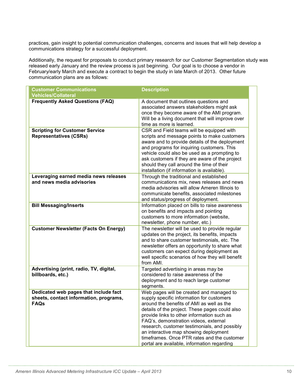practices, gain insight to potential communication challenges, concerns and issues that will help develop a communications strategy for a successful deployment.

Additionally, the request for proposals to conduct primary research for our Customer Segmentation study was released early January and the review process is just beginning. Our goal is to choose a vendor in February/early March and execute a contract to begin the study in late March of 2013. Other future communication plans are as follows:

| <b>Customer Communications</b>                                                                 | <b>Description</b>                                                                                                                                                                                                                                                                                                                                                                                                                                                  |
|------------------------------------------------------------------------------------------------|---------------------------------------------------------------------------------------------------------------------------------------------------------------------------------------------------------------------------------------------------------------------------------------------------------------------------------------------------------------------------------------------------------------------------------------------------------------------|
| <b>Vehicles/Collateral</b>                                                                     |                                                                                                                                                                                                                                                                                                                                                                                                                                                                     |
| <b>Frequently Asked Questions (FAQ)</b>                                                        | A document that outlines questions and<br>associated answers stakeholders might ask<br>once they become aware of the AMI program.<br>Will be a living document that will improve over<br>time as more is learned.                                                                                                                                                                                                                                                   |
| <b>Scripting for Customer Service</b><br><b>Representatives (CSRs)</b>                         | CSR and Field teams will be equipped with<br>scripts and message points to make customers<br>aware and to provide details of the deployment<br>and programs for inquiring customers. This<br>vehicle could also be used as a prompting to<br>ask customers if they are aware of the project<br>should they call around the time of their<br>installation (if information is available).                                                                             |
| Leveraging earned media news releases<br>and news media advisories                             | Through the traditional and established<br>communications mix, news releases and news<br>media advisories will allow Ameren Illinois to<br>communicate benefits, associated milestones<br>and status/progress of deployment.                                                                                                                                                                                                                                        |
| <b>Bill Messaging/Inserts</b>                                                                  | Information placed on bills to raise awareness<br>on benefits and impacts and pointing<br>customers to more information (website,<br>newsletter, phone number, etc.)                                                                                                                                                                                                                                                                                                |
| <b>Customer Newsletter (Facts On Energy)</b>                                                   | The newsletter will be used to provide regular<br>updates on the project, its benefits, impacts<br>and to share customer testimonials, etc. The<br>newsletter offers an opportunity to share what<br>customers can expect during deployment as<br>well specific scenarios of how they will benefit<br>from AMI.                                                                                                                                                     |
| Advertising (print, radio, TV, digital,<br>billboards, etc.)                                   | Targeted advertising in areas may be<br>considered to raise awareness of the<br>deployment and to reach large customer<br>segments.                                                                                                                                                                                                                                                                                                                                 |
| Dedicated web pages that include fact<br>sheets, contact information, programs,<br><b>FAQs</b> | Web pages will be created and managed to<br>supply specific information for customers<br>around the benefits of AMI as well as the<br>details of the project. These pages could also<br>provide links to other information such as<br>FAQ's, demonstration videos, external<br>research, customer testimonials, and possibly<br>an interactive map showing deployment<br>timeframes. Once PTR rates and the customer<br>portal are available, information regarding |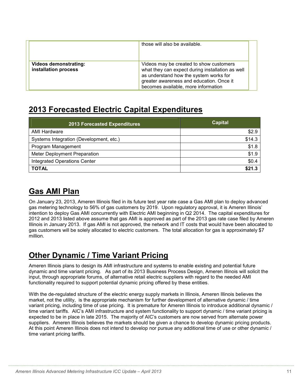|                                                      | those will also be available.                                                                                                                                                                                            |
|------------------------------------------------------|--------------------------------------------------------------------------------------------------------------------------------------------------------------------------------------------------------------------------|
| <b>Videos demonstrating:</b><br>installation process | Videos may be created to show customers<br>what they can expect during installation as well<br>as understand how the system works for<br>greater awareness and education. Once it<br>becomes available, more information |

### **2013 Forecasted Electric Capital Expenditures**

| <b>2013 Forecasted Expenditures</b>     | <b>Capital</b> |
|-----------------------------------------|----------------|
| <b>AMI Hardware</b>                     | \$2.9          |
| Systems Integration (Development, etc.) | \$14.3         |
| Program Management                      | \$1.8          |
| Meter Deployment Preparation            | \$1.9          |
| <b>Integrated Operations Center</b>     | \$0.4          |
| <b>TOTAL</b>                            | \$21.3         |

## **Gas AMI Plan**

On January 23, 2013, Ameren Illinois filed in its future test year rate case a Gas AMI plan to deploy advanced gas metering technology to 56% of gas customers by 2019. Upon regulatory approval, it is Ameren Illinois' intention to deploy Gas AMI concurrently with Electric AMI beginning in Q2 2014. The capital expenditures for 2012 and 2013 listed above assume that gas AMI is approved as part of the 2013 gas rate case filed by Ameren Illinois in January 2013. If gas AMI is not approved, the network and IT costs that would have been allocated to gas customers will be solely allocated to electric customers. The total allocation for gas is approximately \$7 million.

# **Other Dynamic / Time Variant Pricing**

Ameren Illinois plans to design its AMI infrastructure and systems to enable existing and potential future dynamic and time variant pricing. As part of its 2013 Business Process Design, Ameren Illinois will solicit the input, through appropriate forums, of alternative retail electric suppliers with regard to the needed AMI functionality required to support potential dynamic pricing offered by these entities.

With the de-regulated structure of the electric energy supply markets in Illinois, Ameren Illinois believes the market, not the utility, is the appropriate mechanism for further development of alternative dynamic / time variant pricing, including time of use pricing. It is premature for Ameren Illinois to introduce additional dynamic / time variant tariffs. AIC's AMI infrastructure and system functionality to support dynamic / time variant pricing is expected to be in place in late 2015. The majority of AIC's customers are now served from alternate power suppliers. Ameren Illinois believes the markets should be given a chance to develop dynamic pricing products. At this point Ameren Illinois does not intend to develop nor pursue any additional time of use or other dynamic / time variant pricing tariffs.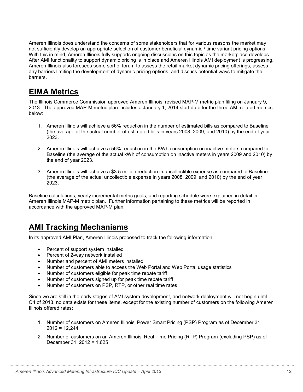Ameren Illinois does understand the concerns of some stakeholders that for various reasons the market may not sufficiently develop an appropriate selection of customer beneficial dynamic / time variant pricing options. With this in mind, Ameren Illinois fully supports ongoing discussions on this topic as the marketplace develops. After AMI functionality to support dynamic pricing is in place and Ameren Illinois AMI deployment is progressing, Ameren Illinois also foresees some sort of forum to assess the retail market dynamic pricing offerings, assess any barriers limiting the development of dynamic pricing options, and discuss potential ways to mitigate the barriers.

### **EIMA Metrics**

The Illinois Commerce Commission approved Ameren Illinois' revised MAP-M metric plan filing on January 9, 2013. The approved MAP-M metric plan includes a January 1, 2014 start date for the three AMI related metrics below:

- 1. Ameren Illinois will achieve a 56% reduction in the number of estimated bills as compared to Baseline (the average of the actual number of estimated bills in years 2008, 2009, and 2010) by the end of year 2023.
- 2. Ameren Illinois will achieve a 56% reduction in the KWh consumption on inactive meters compared to Baseline (the average of the actual kWh of consumption on inactive meters in years 2009 and 2010) by the end of year 2023.
- 3. Ameren Illinois will achieve a \$3.5 million reduction in uncollectible expense as compared to Baseline (the average of the actual uncollectible expense in years 2008, 2009, and 2010) by the end of year 2023.

Baseline calculations, yearly incremental metric goals, and reporting schedule were explained in detail in Ameren Illinois MAP-M metric plan. Further information pertaining to these metrics will be reported in accordance with the approved MAP-M plan.

### **AMI Tracking Mechanisms**

In its approved AMI Plan, Ameren Illinois proposed to track the following information:

- Percent of support system installed
- Percent of 2-way network installed
- Number and percent of AMI meters installed
- Number of customers able to access the Web Portal and Web Portal usage statistics
- Number of customers eligible for peak time rebate tariff
- Number of customers signed up for peak time rebate tariff
- Number of customers on PSP, RTP, or other real time rates

Since we are still in the early stages of AMI system development, and network deployment will not begin until Q4 of 2013, no data exists for these items, except for the existing number of customers on the following Ameren Illinois offered rates:

- 1. Number of customers on Ameren Illinois' Power Smart Pricing (PSP) Program as of December 31,  $2012 = 12.244$ .
- 2. Number of customers on an Ameren Illinois' Real Time Pricing (RTP) Program (excluding PSP) as of December 31, 2012 = 1,625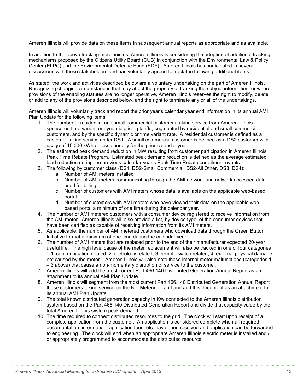Ameren Illinois will provide data on these items in subsequent annual reports as appropriate and as available.

In addition to the above tracking mechanisms, Ameren Illinois is considering the adoption of additional tracking mechanisms proposed by the Citizens Utility Board (CUB) in conjunction with the Environmental Law & Policy Center (ELPC) and the Environmental Defense Fund (EDF). Ameren Illinois has participated in several discussions with these stakeholders and has voluntarily agreed to track the following additional items.

As stated, the work and activities described below are a voluntary undertaking on the part of Ameren Illinois. Recognizing changing circumstances that may affect the propriety of tracking the subject information, or where provisions of the enabling statutes are no longer operative, Ameren Illinois reserves the right to modify, delete, or add to any of the provisions described below, and the right to terminate any or all of the undertakings.

Ameren Illinois will voluntarily track and report the prior year's calendar year end information in its annual AMI Plan Update for the following items:

- 1. The number of residential and small commercial customers taking service from Ameren Illinois sponsored time variant or dynamic pricing tariffs, segmented by residential and small commercial customers, and by the specific dynamic or time variant rate. A residential customer is defined as a customer taking service under DS1. A small commercial customer is defined as a DS2 customer with usage of 15,000 kWh or less annually for the prior calendar year.
- 2. The estimated peak demand reduction in MW resulting from customer participation in Ameren Illinois' Peak Time Rebate Program. Estimated peak demand reduction is defined as the average estimated load reduction during the previous calendar year's Peak Time Rebate curtailment events.
- 3. The following by customer class (DS1, DS2-Small Commercial, DS2-All Other, DS3, DS4):
	- a. Number of AMI meters installed
	- b. Number of AMI meters communicating through the AMI network and network accessed data used for billing.
	- c. Number of customers with AMI meters whose data is available on the applicable web-based portal.
	- d. Number of customers with AMI meters who have viewed their data on the applicable webbased portal a minimum of one time during the calendar year.
- 4. The number of AMI metered customers with a consumer device registered to receive information from the AMI meter. Ameren Illinois will also provide a list, by device type, of the consumer devices that have been certified as capable of receiving information from its AMI meters.
- 5. As applicable, the number of AMI metered customers who download data through the Green Button Initiative format a minimum of one time during the calendar year.
- 6. The number of AMI meters that are replaced prior to the end of their manufacturer expected 20-year useful life. The high level cause of the meter replacement will also be tracked in one of four categories – 1. communication related, 2. metrology related, 3. remote switch related, 4. external physical damage not caused by the meter. Ameren Illinois will also note those internal meter malfunctions (categories 1 – 3 above) that cause a non-momentary disruption of service to the customer.
- 7. Ameren Illinois will add the most current Part 466.140 Distributed Generation Annual Report as an attachment to its annual AMI Plan Update.
- 8. Ameren Illinois will segment from the most current Part 466.140 Distributed Generation Annual Report those customers taking service on the Net Metering Tariff and add this document as an attachment to its annual AMI Plan Update.
- 9. The total known distributed generation capacity in KW connected to the Ameren Illinois distribution system based on the Part 466.140 Distributed Generation Report and divide that capacity value by the total Ameren Illinois system peak demand.
- 10. The time required to connect distributed resources to the grid. The clock will start upon receipt of a complete application from the customer. An application is considered complete when all required documentation, information, application fees, etc. have been received and application can be forwarded to engineering. The clock will end when an appropriate Ameren Illinois electric meter is installed and / or appropriately programmed to accommodate the distributed resource.